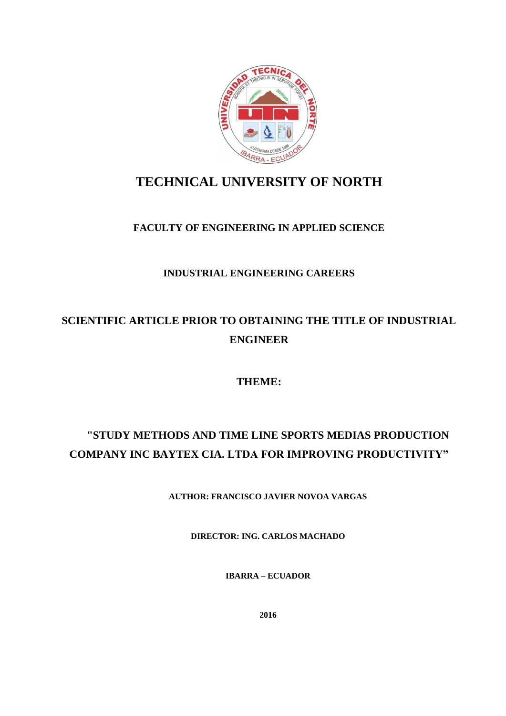

# **TECHNICAL UNIVERSITY OF NORTH**

# **FACULTY OF ENGINEERING IN APPLIED SCIENCE**

# **INDUSTRIAL ENGINEERING CAREERS**

# **SCIENTIFIC ARTICLE PRIOR TO OBTAINING THE TITLE OF INDUSTRIAL ENGINEER**

# **THEME:**

# **"STUDY METHODS AND TIME LINE SPORTS MEDIAS PRODUCTION COMPANY INC BAYTEX CIA. LTDA FOR IMPROVING PRODUCTIVITY"**

**AUTHOR: FRANCISCO JAVIER NOVOA VARGAS**

**DIRECTOR: ING. CARLOS MACHADO**

**IBARRA – ECUADOR**

**2016**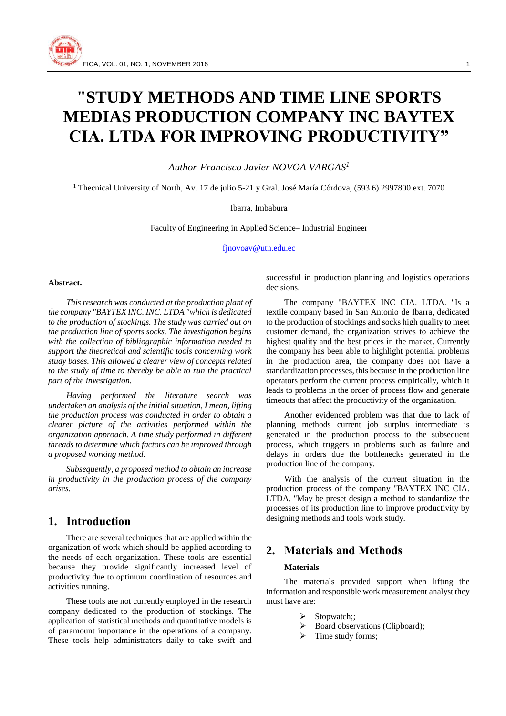

# **"STUDY METHODS AND TIME LINE SPORTS MEDIAS PRODUCTION COMPANY INC BAYTEX CIA. LTDA FOR IMPROVING PRODUCTIVITY"**

*Author-Francisco Javier NOVOA VARGAS<sup>1</sup>*

<sup>1</sup> Thecnical University of North, Av. 17 de julio 5-21 y Gral. José María Córdova, (593 6) 2997800 ext. 7070

Ibarra, Imbabura

Faculty of Engineering in Applied Science– Industrial Engineer

[fjnovoav@utn.edu.ec](mailto:fjnovoav@utn.edu.ec)

#### **Abstract.**

*This research was conducted at the production plant of the company "BAYTEX INC. INC. LTDA "which is dedicated to the production of stockings. The study was carried out on the production line of sports socks. The investigation begins with the collection of bibliographic information needed to support the theoretical and scientific tools concerning work study bases. This allowed a clearer view of concepts related to the study of time to thereby be able to run the practical part of the investigation.*

*Having performed the literature search was undertaken an analysis of the initial situation, I mean, lifting the production process was conducted in order to obtain a clearer picture of the activities performed within the organization approach. A time study performed in different threads to determine which factors can be improved through a proposed working method.*

*Subsequently, a proposed method to obtain an increase in productivity in the production process of the company arises.*

# **1. Introduction**

There are several techniques that are applied within the organization of work which should be applied according to the needs of each organization. These tools are essential because they provide significantly increased level of productivity due to optimum coordination of resources and activities running.

These tools are not currently employed in the research company dedicated to the production of stockings. The application of statistical methods and quantitative models is of paramount importance in the operations of a company. These tools help administrators daily to take swift and successful in production planning and logistics operations decisions.

The company "BAYTEX INC CIA. LTDA. "Is a textile company based in San Antonio de Ibarra, dedicated to the production of stockings and socks high quality to meet customer demand, the organization strives to achieve the highest quality and the best prices in the market. Currently the company has been able to highlight potential problems in the production area, the company does not have a standardization processes, this because in the production line operators perform the current process empirically, which It leads to problems in the order of process flow and generate timeouts that affect the productivity of the organization.

Another evidenced problem was that due to lack of planning methods current job surplus intermediate is generated in the production process to the subsequent process, which triggers in problems such as failure and delays in orders due the bottlenecks generated in the production line of the company.

With the analysis of the current situation in the production process of the company "BAYTEX INC CIA. LTDA. "May be preset design a method to standardize the processes of its production line to improve productivity by designing methods and tools work study.

# **2. Materials and Methods**

#### **Materials**

The materials provided support when lifting the information and responsible work measurement analyst they must have are:

- $\triangleright$  Stopwatch;;
- $\triangleright$  Board observations (Clipboard);
- $\triangleright$  Time study forms;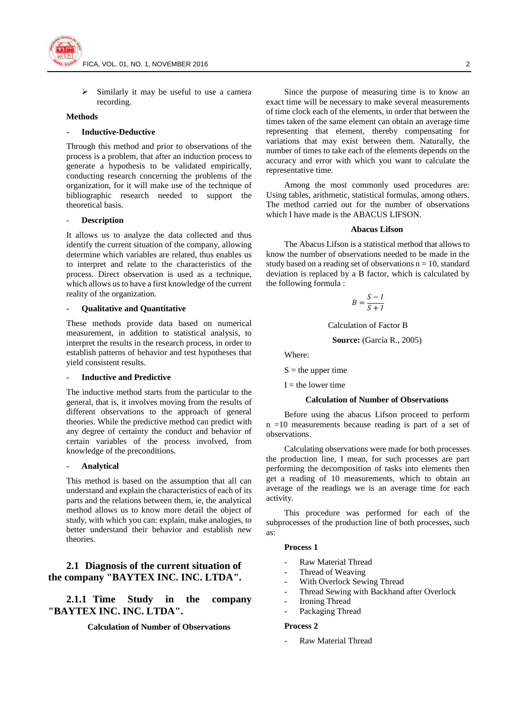

 Similarly it may be useful to use a camera recording.

#### **Methods**

#### - **Inductive-Deductive**

Through this method and prior to observations of the process is a problem, that after an induction process to generate a hypothesis to be validated empirically, conducting research concerning the problems of the organization, for it will make use of the technique of bibliographic research needed to support the theoretical basis.

#### - **Description**

It allows us to analyze the data collected and thus identify the current situation of the company, allowing determine which variables are related, thus enables us to interpret and relate to the characteristics of the process. Direct observation is used as a technique, which allows us to have a first knowledge of the current reality of the organization.

#### - **Qualitative and Quantitative**

These methods provide data based on numerical measurement, in addition to statistical analysis, to interpret the results in the research process, in order to establish patterns of behavior and test hypotheses that yield consistent results.

#### - **Inductive and Predictive**

The inductive method starts from the particular to the general, that is, it involves moving from the results of different observations to the approach of general theories. While the predictive method can predict with any degree of certainty the conduct and behavior of certain variables of the process involved, from knowledge of the preconditions.

#### - **Analytical**

This method is based on the assumption that all can understand and explain the characteristics of each of its parts and the relations between them, ie, the analytical method allows us to know more detail the object of study, with which you can: explain, make analogies, to better understand their behavior and establish new theories.

### **2.1 Diagnosis of the current situation of the company "BAYTEX INC. INC. LTDA".**

## **2.1.1 Time Study in the company "BAYTEX INC. INC. LTDA".**

#### **Calculation of Number of Observations**

Since the purpose of measuring time is to know an exact time will be necessary to make several measurements of time clock each of the elements, in order that between the times taken of the same element can obtain an average time representing that element, thereby compensating for variations that may exist between them. Naturally, the number of times to take each of the elements depends on the accuracy and error with which you want to calculate the representative time.

Among the most commonly used procedures are: Using tables, arithmetic, statistical formulas, among others. The method carried out for the number of observations which I have made is the ABACUS LIFSON.

#### **Abacus Lifson**

The Abacus Lifson is a statistical method that allows to know the number of observations needed to be made in the study based on a reading set of observations  $n = 10$ , standard deviation is replaced by a B factor, which is calculated by the following formula :

$$
B = \frac{S - I}{S + I}
$$

Calculation of Factor B

**Source:** (García R., 2005)

Where:

 $S =$  the upper time

 $I =$  the lower time

#### **Calculation of Number of Observations**

Before using the abacus Lifson proceed to perform n =10 measurements because reading is part of a set of observations.

Calculating observations were made for both processes the production line, I mean, for such processes are part performing the decomposition of tasks into elements then get a reading of 10 measurements, which to obtain an average of the readings we is an average time for each activity.

This procedure was performed for each of the subprocesses of the production line of both processes, such as:

#### **Process 1**

- Raw Material Thread
- Thread of Weaving
- With Overlock Sewing Thread
- Thread Sewing with Backhand after Overlock
- Ironing Thread
- Packaging Thread

#### **Process 2**

- Raw Material Thread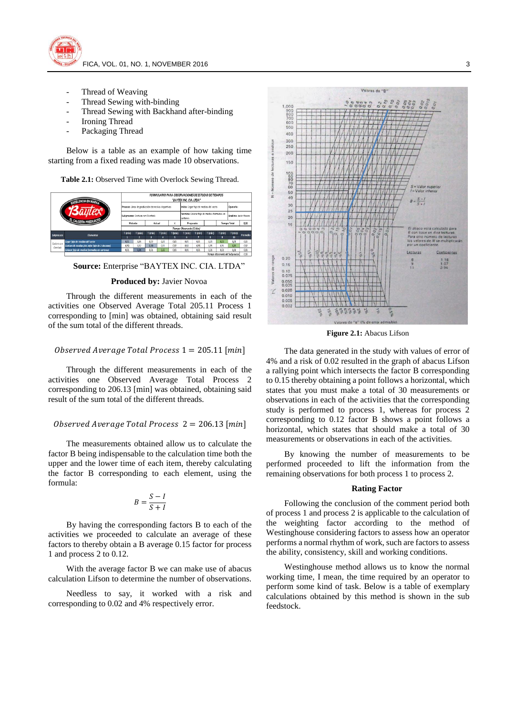

- Thread of Weaving
- Thread Sewing with-binding
- Thread Sewing with Backhand after-binding
- Ironing Thread
- Packaging Thread

Below is a table as an example of how taking time starting from a fixed reading was made 10 observations.

**Table 2.1:** Observed Time with Overlock Sewing Thread.





#### **Produced by:** Javier Novoa

Through the different measurements in each of the activities one Observed Average Total 205.11 Process 1 corresponding to [min] was obtained, obtaining said result of the sum total of the different threads.

#### Observed Average Total Process  $1 = 205.11$  [min]

Through the different measurements in each of the activities one Observed Average Total Process 2 corresponding to 206.13 [min] was obtained, obtaining said result of the sum total of the different threads.

#### Observed Average Total Process  $2 = 206.13$  [min]

The measurements obtained allow us to calculate the factor B being indispensable to the calculation time both the upper and the lower time of each item, thereby calculating the factor B corresponding to each element, using the formula:

$$
B = \frac{S - I}{S + I}
$$

By having the corresponding factors B to each of the activities we proceeded to calculate an average of these factors to thereby obtain a B average 0.15 factor for process 1 and process 2 to 0.12.

With the average factor B we can make use of abacus calculation Lifson to determine the number of observations.

Needless to say, it worked with a risk and corresponding to 0.02 and 4% respectively error.



**Figure 2.1:** Abacus Lifson

The data generated in the study with values of error of 4% and a risk of 0.02 resulted in the graph of abacus Lifson a rallying point which intersects the factor B corresponding to 0.15 thereby obtaining a point follows a horizontal, which states that you must make a total of 30 measurements or observations in each of the activities that the corresponding study is performed to process 1, whereas for process 2 corresponding to 0.12 factor B shows a point follows a horizontal, which states that should make a total of 30 measurements or observations in each of the activities.

By knowing the number of measurements to be performed proceeded to lift the information from the remaining observations for both process 1 to process 2.

#### **Rating Factor**

Following the conclusion of the comment period both of process 1 and process 2 is applicable to the calculation of the weighting factor according to the method of Westinghouse considering factors to assess how an operator performs a normal rhythm of work, such are factors to assess the ability, consistency, skill and working conditions.

Westinghouse method allows us to know the normal working time, I mean, the time required by an operator to perform some kind of task. Below is a table of exemplary calculations obtained by this method is shown in the sub feedstock.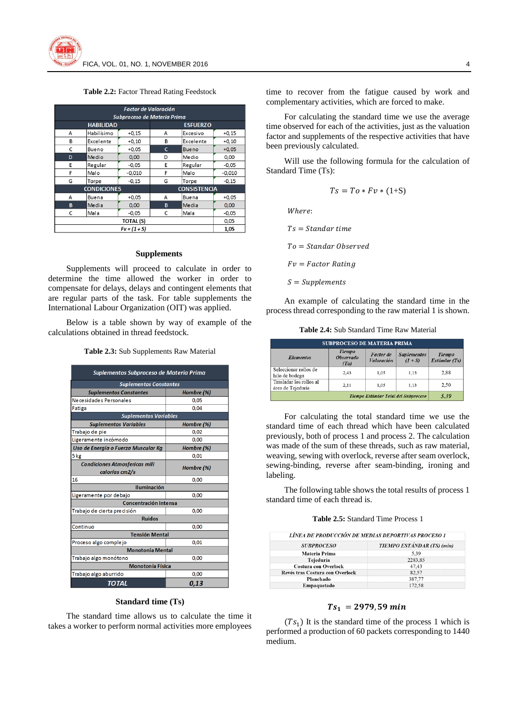**Table 2.2:** Factor Thread Rating Feedstock

| Factor de Valoración        |                 |                     |                 |              |          |
|-----------------------------|-----------------|---------------------|-----------------|--------------|----------|
| Subproceso de Materia Prima |                 |                     |                 |              |          |
| <b>HABILIDAD</b>            |                 |                     | <b>ESFUERZO</b> |              |          |
| А                           | Habilísimo      | $+0.15$             | A               | Excesivo     | $+0.15$  |
| B                           | Excelente       | $+0,10$             | B               | Excelente    | $+0,10$  |
| C                           | Bueno           | $+0.05$             | c               | <b>Bueno</b> | $+0.05$  |
| D                           | Medio           | 0,00                | D               | Medio        | 0,00     |
| E                           | Regular         | $-0,05$             | E               | Regular      | $-0,05$  |
| F                           | Malo            | $-0.010$            | F               | Malo         | $-0,010$ |
| G                           | Torpe           | $-0,15$             | G               | Torpe        | $-0,15$  |
| <b>CONDICIONES</b>          |                 | <b>CONSISTENCIA</b> |                 |              |          |
| Α                           | Buena           | $+0,05$             | A               | Buena        | $+0,05$  |
| B                           | Media           | 0.00                | B               | Media        | 0,00     |
| C                           | Mala            | $-0.05$             | C               | Mala         | $-0.05$  |
|                             | <b>TOTAL(S)</b> |                     |                 |              | 0,05     |
|                             |                 | $Fv = (1 + S)$      |                 |              | 1,05     |

#### **Supplements**

Supplements will proceed to calculate in order to determine the time allowed the worker in order to compensate for delays, delays and contingent elements that are regular parts of the task. For table supplements the International Labour Organization (OIT) was applied.

Below is a table shown by way of example of the calculations obtained in thread feedstock.

**Table 2.3:** Sub Supplements Raw Material

| Suplementos Subproceso de Materia Prima                |            |  |  |  |
|--------------------------------------------------------|------------|--|--|--|
| <b>Suplementos Constantes</b>                          |            |  |  |  |
| <b>Suplementos Constantes</b>                          | Hombre (%) |  |  |  |
| Necesidades Personales                                 | 0,05       |  |  |  |
| Fatiga                                                 | 0,04       |  |  |  |
| <b>Suplementos Variables</b>                           |            |  |  |  |
| <b>Suplementos Variables</b>                           | Hombre (%) |  |  |  |
| Trabajo de pie                                         | 0,02       |  |  |  |
| Ligeramente incómodo                                   | 0,00       |  |  |  |
| Uso de Energía o Fuerza Muscular Ka                    | Hombre (%) |  |  |  |
| 5 kg                                                   | 0,01       |  |  |  |
| <b>Condiciones Atmosfericas mili</b><br>calorías cm2/s | Hombre (%) |  |  |  |
| 16                                                     | 0,00       |  |  |  |
| <b>Iluminación</b>                                     |            |  |  |  |
| Ligeramente por debajo<br>0,00                         |            |  |  |  |
| Concentración Intensa                                  |            |  |  |  |
| Trabajo de cierta precisión                            | 0,00       |  |  |  |
| <b>Ruidos</b>                                          |            |  |  |  |
| Continuo                                               | 0,00       |  |  |  |
| <b>Tensión Mental</b>                                  |            |  |  |  |
| Proceso algo complejo<br>0,01                          |            |  |  |  |
| <b>Monotonía Mental</b>                                |            |  |  |  |
| Trabajo algo monótono                                  | 0,00       |  |  |  |
| <b>Monotonía Física</b>                                |            |  |  |  |
| Trabajo algo aburrido                                  | 0,00       |  |  |  |
| TOTAL                                                  | 0,13       |  |  |  |

#### **Standard time (Ts)**

The standard time allows us to calculate the time it takes a worker to perform normal activities more employees time to recover from the fatigue caused by work and complementary activities, which are forced to make.

For calculating the standard time we use the average time observed for each of the activities, just as the valuation factor and supplements of the respective activities that have been previously calculated.

Will use the following formula for the calculation of Standard Time (Ts):

$$
Ts = To * Fv * (1+S)
$$

Where:

 $Ts = Standard time$ 

 $To = Standard Observed$ 

 $Fv = Factor$  Rating

 $S = Supplementary$ 

An example of calculating the standard time in the process thread corresponding to the raw material 1 is shown.

**Table 2.4:** Sub Standard Time Raw Material

| <b>SUBPROCESO DE MATERIA PRIMA</b>           |                                           |                                              |                                 |                                |
|----------------------------------------------|-------------------------------------------|----------------------------------------------|---------------------------------|--------------------------------|
| <b>Elementos</b>                             | <b>Tiempo</b><br><b>Observado</b><br>(To) | <b>Factor</b> de<br><b><i>Valoración</i></b> | <b>Suplementos</b><br>$(1 + S)$ | <b>Tiempo</b><br>Estándar (Ts) |
| Seleccionar rollos de<br>hilo de bodega      | 2.43                                      | 1.05                                         | 1.13                            | 2.88                           |
| Trasladar los rollos al<br>área de Tejeduría | 2.11                                      | 1.05                                         | 1.13                            | 2.50                           |
| Tiempo Estándar Total del Subproceso         |                                           |                                              |                                 | 5.39                           |

For calculating the total standard time we use the standard time of each thread which have been calculated previously, both of process 1 and process 2. The calculation was made of the sum of these threads, such as raw material, weaving, sewing with overlock, reverse after seam overlock, sewing-binding, reverse after seam-binding, ironing and labeling.

The following table shows the total results of process 1 standard time of each thread is.

#### **Table 2.5:** Standard Time Process 1

| <b>SUBPROCESO</b>               | TIEMPO ESTÁNDAR (TS) (min) |  |
|---------------------------------|----------------------------|--|
| Materia Prima                   | 5.39                       |  |
| Tejeduría                       | 2283,85                    |  |
| <b>Costura con Overlock</b>     | 47.43                      |  |
| Revés tras Costura con Overlock | 82.57                      |  |
| Planchado                       | 387,77                     |  |
| Empaquetado                     | 172.58                     |  |

#### $Ts_1 = 2979,59 min$

 $(Ts<sub>1</sub>)$  It is the standard time of the process 1 which is performed a production of 60 packets corresponding to 1440 medium.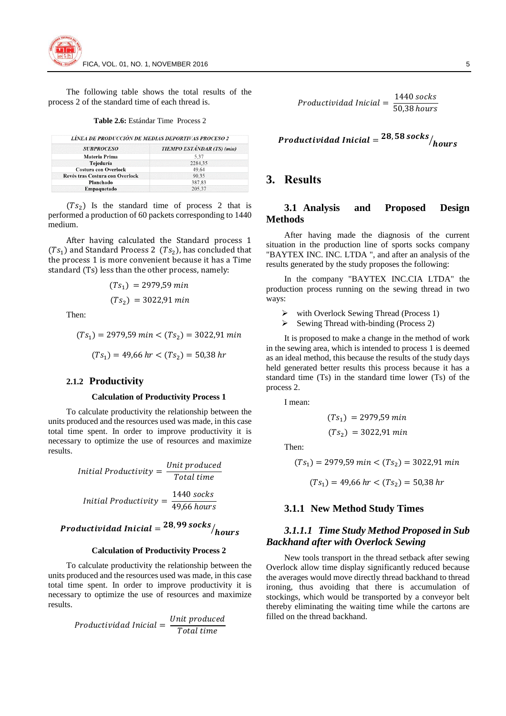The following table shows the total results of the process 2 of the standard time of each thread is.

#### **Table 2.6:** Estándar Time Process 2

| LINEA DE PRODUCCIÓN DE MEDIAS DEPORTIVAS PROCESO 2 |  |
|----------------------------------------------------|--|
|----------------------------------------------------|--|

| <b>SUBPROCESO</b>               | TIEMPO ESTÁNDAR (TS) (min) |  |
|---------------------------------|----------------------------|--|
| Materia Prima                   | 5.37                       |  |
| Tejeduría                       | 2284,35                    |  |
| <b>Costura con Overlock</b>     | 49,64                      |  |
| Revés tras Costura con Overlock | 90.35                      |  |
| Planchado                       | 387,83                     |  |
| Empaquetado                     | 205.37                     |  |

 $(Ts<sub>2</sub>)$  Is the standard time of process 2 that is performed a production of 60 packets corresponding to 1440 medium.

After having calculated the Standard process 1  $(Ts_1)$  and Standard Process 2  $(Ts_2)$ , has concluded that the process 1 is more convenient because it has a Time standard (Ts) less than the other process, namely:

$$
(Ts1) = 2979,59 min
$$

$$
(Ts2) = 3022,91 min
$$

Then:

$$
(Ts_1) = 2979,59 \text{ min} < (Ts_2) = 3022,91 \text{ min}
$$
\n
$$
(Ts_1) = 49,66 \text{ hr} < (Ts_2) = 50,38 \text{ hr}
$$

#### **2.1.2 Productivity**

#### **Calculation of Productivity Process 1**

To calculate productivity the relationship between the units produced and the resources used was made, in this case total time spent. In order to improve productivity it is necessary to optimize the use of resources and maximize results.

> *Initial Productivity* =  $\frac{Unit\,product}{T}$ Total time *Initial Productivity* =  $\frac{1440 \text{ socks}}{10.66 \text{ kg}}$ 49,66 hours

# Productividad Inicial =  $^{28,99\,socks}/_{hours}$

#### **Calculation of Productivity Process 2**

To calculate productivity the relationship between the units produced and the resources used was made, in this case total time spent. In order to improve productivity it is necessary to optimize the use of resources and maximize results.

> Productividad Inicial =  $\frac{Unit\, produced}{T}$ Total time

Productividad Inicial  $=\frac{1440 \text{ socks}}{5000}$ 50,38 hours

$$
Productividad\,Initial= \frac{28,58\,socks}{hours}
$$

# **3. Results**

### **3.1 Analysis and Proposed Design Methods**

After having made the diagnosis of the current situation in the production line of sports socks company "BAYTEX INC. INC. LTDA ", and after an analysis of the results generated by the study proposes the following:

In the company "BAYTEX INC.CIA LTDA" the production process running on the sewing thread in two ways:

- $\triangleright$  with Overlock Sewing Thread (Process 1)
- $\triangleright$  Sewing Thread with-binding (Process 2)

It is proposed to make a change in the method of work in the sewing area, which is intended to process 1 is deemed as an ideal method, this because the results of the study days held generated better results this process because it has a standard time (Ts) in the standard time lower (Ts) of the process 2.

I mean:

$$
(Ts1) = 2979,59 min
$$

$$
(Ts2) = 3022,91 min
$$

Then:

$$
(Ts_1) = 2979,59 \, min < (Ts_2) = 3022,91 \, min
$$

$$
(Ts_1) = 49,66 \text{ hr} < (Ts_2) = 50,38 \text{ hr}
$$

#### **3.1.1 New Method Study Times**

## *3.1.1.1 Time Study Method Proposed in Sub Backhand after with Overlock Sewing*

New tools transport in the thread setback after sewing Overlock allow time display significantly reduced because the averages would move directly thread backhand to thread ironing, thus avoiding that there is accumulation of stockings, which would be transported by a conveyor belt thereby eliminating the waiting time while the cartons are filled on the thread backhand.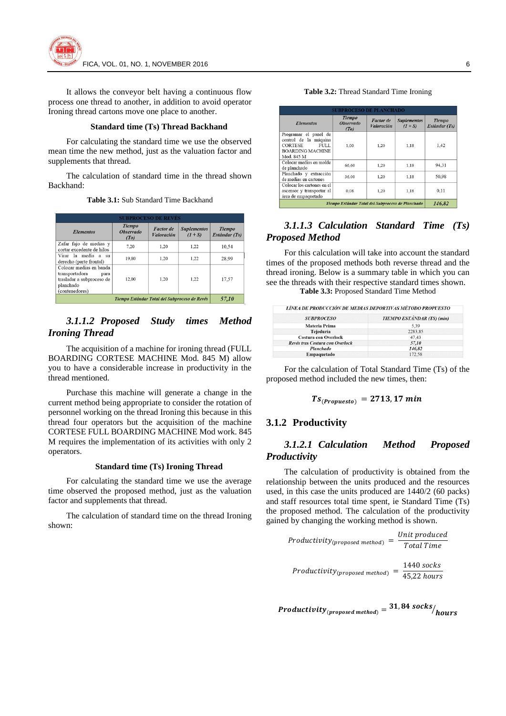

It allows the conveyor belt having a continuous flow process one thread to another, in addition to avoid operator Ironing thread cartons move one place to another.

#### **Standard time (Ts) Thread Backhand**

For calculating the standard time we use the observed mean time the new method, just as the valuation factor and supplements that thread.

The calculation of standard time in the thread shown Backhand:

**Table 3.1:** Sub Standard Time Backhand

| <b>SUBPROCESO DE REVÉS</b>                                                                                    |                                           |                                              |                                 |                                |
|---------------------------------------------------------------------------------------------------------------|-------------------------------------------|----------------------------------------------|---------------------------------|--------------------------------|
| <b>Elementos</b>                                                                                              | <b>Tiempo</b><br><b>Observado</b><br>(To) | <b>Factor</b> de<br><b><i>Valoración</i></b> | <b>Suplementos</b><br>$(1 + S)$ | <b>Tiempo</b><br>Estándar (Ts) |
| Zafar fajo de medias y<br>cortar excedente de hilos                                                           | 7.20                                      | 1.20                                         | 1.22                            | 10.54                          |
| Virar la media a su<br>derecho (parte frontal)                                                                | 19.80                                     | 1.20                                         | 1.22                            | 28.99                          |
| Colocar medias en banda<br>transportadora<br>para<br>trasladar a subproceso de<br>planchado<br>(contenedores) | 12.00                                     | 1.20                                         | 1.22                            | 17.57                          |
| Tiempo Estándar Total del Subproceso de Revés                                                                 |                                           |                                              |                                 | 57,10                          |

# *3.1.1.2 Proposed Study times Method Ironing Thread*

The acquisition of a machine for ironing thread (FULL BOARDING CORTESE MACHINE Mod. 845 M) allow you to have a considerable increase in productivity in the thread mentioned.

Purchase this machine will generate a change in the current method being appropriate to consider the rotation of personnel working on the thread Ironing this because in this thread four operators but the acquisition of the machine CORTESE FULL BOARDING MACHINE Mod work. 845 M requires the implementation of its activities with only 2 operators.

#### **Standard time (Ts) Ironing Thread**

For calculating the standard time we use the average time observed the proposed method, just as the valuation factor and supplements that thread.

The calculation of standard time on the thread Ironing shown:

#### **Table 3.2:** Thread Standard Time Ironing

| <b>SUBPROCESO DE PLANCHADO</b>                                                                                    |                                           |                         |                                 |                                |
|-------------------------------------------------------------------------------------------------------------------|-------------------------------------------|-------------------------|---------------------------------|--------------------------------|
| <b>Elementos</b>                                                                                                  | <b>Tiempo</b><br><b>Observado</b><br>(To) | Factor de<br>Valoración | <b>Suplementos</b><br>$(1 + S)$ | <b>Tiempo</b><br>Estándar (Ts) |
| Programar el panel de<br>control de la máquina<br>CORTESE<br><b>FULL</b><br><b>BOARDING MACHINE</b><br>Mod. 845 M | 1.00                                      | 1.20                    | 1.18                            | 1.42                           |
| Colocar medias en molde<br>de planchado                                                                           | 66,60                                     | 1.20                    | 1.18                            | 94.31                          |
| Planchado y extracción<br>de medias en cartones                                                                   | 36,00                                     | 1.20                    | 1.18                            | 50.98                          |
| Colocar los cartones en el<br>ascensor y transportar al<br>área de empaquetado                                    | 0.08                                      | 1.20                    | 1.18                            | 0.11                           |
| 146,82<br>Tiempo Estándar Total del Subproceso de Planchado                                                       |                                           |                         |                                 |                                |

## *3.1.1.3 Calculation Standard Time (Ts) Proposed Method*

For this calculation will take into account the standard times of the proposed methods both reverse thread and the thread ironing. Below is a summary table in which you can see the threads with their respective standard times shown.

**Table 3.3:** Proposed Standard Time Method

| LÍNEA DE PRODUCCIÓN DE MEDIAS DEPORTIVAS MÉTODO PROPUESTO |                                   |  |
|-----------------------------------------------------------|-----------------------------------|--|
| <b>SUBPROCESO</b>                                         | <b>TIEMPO ESTÁNDAR (TS)</b> (min) |  |
| Materia Prima                                             | 5.39                              |  |
| Tejeduría                                                 | 2283.85                           |  |
| <b>Costura con Overlock</b>                               | 47.43                             |  |
| Revés tras Costura con Overlock                           | 57,10                             |  |
| Planchado                                                 | 146,82                            |  |
| Empaquetado                                               | 172.58                            |  |

For the calculation of Total Standard Time (Ts) of the proposed method included the new times, then:

$$
Ts_{(Propuesto)} = 2713,17 min
$$

## **3.1.2 Productivity**

### *3.1.2.1 Calculation Method Proposed Productivity*

The calculation of productivity is obtained from the relationship between the units produced and the resources used, in this case the units produced are 1440/2 (60 packs) and staff resources total time spent, ie Standard Time (Ts) the proposed method. The calculation of the productivity gained by changing the working method is shown.

Productivity<sub>(proposed method)</sub> = 
$$
\frac{Unit\ product}{Total\ Time}
$$

\nProductivity<sub>(proposed method)</sub> = 
$$
\frac{1440\,\text{socks}}{45,22\,\text{hours}}
$$

 $\small \textit{Productivity}_{\small \textcolor{blue}{(proposed method)}} = \frac{31,84 \textbf{ socks}}{hours} / \textcolor{red}{hours}$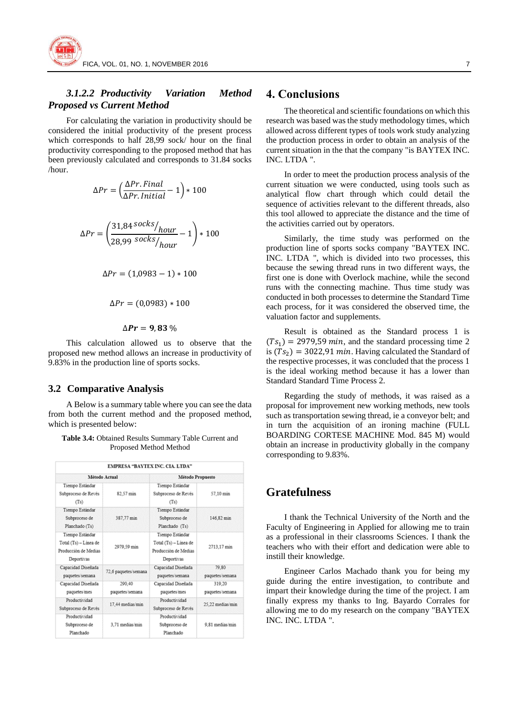## *3.1.2.2 Productivity Variation Method Proposed vs Current Method*

For calculating the variation in productivity should be considered the initial productivity of the present process which corresponds to half 28,99 sock/ hour on the final productivity corresponding to the proposed method that has been previously calculated and corresponds to 31.84 socks /hour.

$$
\Delta Pr = \left(\frac{\Delta Pr. Final}{\Delta Pr. Initial} - 1\right) * 100
$$

$$
\Delta Pr = \left(\frac{31,84 \, \text{socks}}{28,99 \, \text{socks}}\right)_{hour} - 1\right) * 100
$$

$$
\Delta Pr = (1,0983 - 1) * 100
$$

$$
\Delta Pr = (0.0983) * 100
$$

$$
\Delta \bm{Pr} = \bm{9}, \bm{83}~\%
$$

This calculation allowed us to observe that the proposed new method allows an increase in productivity of 9.83% in the production line of sports socks.

#### **3.2 Comparative Analysis**

A Below is a summary table where you can see the data from both the current method and the proposed method, which is presented below:

| <b>Table 3.4:</b> Obtained Results Summary Table Current and |  |
|--------------------------------------------------------------|--|
| Proposed Method Method                                       |  |

|                                                                                |                           | EMPRESA "BAYTEX INC. CIA. LTDA"                                                |                           |  |
|--------------------------------------------------------------------------------|---------------------------|--------------------------------------------------------------------------------|---------------------------|--|
|                                                                                | Método Actual             | Método Propuesto                                                               |                           |  |
| Tiempo Estándar<br>Subproceso de Revés<br>(Ts)                                 | 82.57 min                 | Tiempo Estándar<br>Subproceso de Revés<br>(Ts)                                 | 57.10 min                 |  |
| Tiempo Estándar<br>Subproceso de<br>Planchado (Ts)                             | 387,77 min                | Tiempo Estándar<br>Subproceso de<br>Planchado (Ts)                             | 146,82 min                |  |
| Tiempo Estándar<br>Total (Ts) - Linea de<br>Producción de Medias<br>Deportivas | 2979.59 min               | Tiempo Estándar<br>Total (Ts) - Linea de<br>Producción de Medias<br>Deportivas | 2713.17 min               |  |
| Capacidad Diseñada<br>paquetes semana                                          | 72,6 paquetes/semana      | Capacidad Diseñada<br>paquetes/semana                                          | 79.80<br>paquetes semana  |  |
| Capacidad Diseñada<br>paquetes/mes                                             | 290.40<br>paquetes/semana | Capacidad Diseñada<br>paquetes/mes                                             | 319.20<br>paquetes/semana |  |
| Productividad<br>Subproceso de Revés                                           | 17.44 medias/min          | Productividad<br>Subproceso de Revés                                           | 25,22 medias/min          |  |
| Productividad<br>Subproceso de<br>Planchado                                    | 3.71 medias/min           | Productividad<br>Subproceso de<br>Planchado                                    | 9.81 medias/min           |  |

## **4. Conclusions**

The theoretical and scientific foundations on which this research was based was the study methodology times, which allowed across different types of tools work study analyzing the production process in order to obtain an analysis of the current situation in the that the company "is BAYTEX INC. INC. LTDA ".

In order to meet the production process analysis of the current situation we were conducted, using tools such as analytical flow chart through which could detail the sequence of activities relevant to the different threads, also this tool allowed to appreciate the distance and the time of the activities carried out by operators.

Similarly, the time study was performed on the production line of sports socks company "BAYTEX INC. INC. LTDA ", which is divided into two processes, this because the sewing thread runs in two different ways, the first one is done with Overlock machine, while the second runs with the connecting machine. Thus time study was conducted in both processes to determine the Standard Time each process, for it was considered the observed time, the valuation factor and supplements.

Result is obtained as the Standard process 1 is  $(Ts<sub>1</sub>) = 2979.59$  min, and the standard processing time 2 is  $(Ts_2) = 3022.91$  min. Having calculated the Standard of the respective processes, it was concluded that the process 1 is the ideal working method because it has a lower than Standard Standard Time Process 2.

Regarding the study of methods, it was raised as a proposal for improvement new working methods, new tools such as transportation sewing thread, ie a conveyor belt; and in turn the acquisition of an ironing machine (FULL BOARDING CORTESE MACHINE Mod. 845 M) would obtain an increase in productivity globally in the company corresponding to 9.83%.

# **Gratefulness**

I thank the Technical University of the North and the Faculty of Engineering in Applied for allowing me to train as a professional in their classrooms Sciences. I thank the teachers who with their effort and dedication were able to instill their knowledge.

Engineer Carlos Machado thank you for being my guide during the entire investigation, to contribute and impart their knowledge during the time of the project. I am finally express my thanks to Ing. Bayardo Corrales for allowing me to do my research on the company "BAYTEX INC. INC. LTDA ".